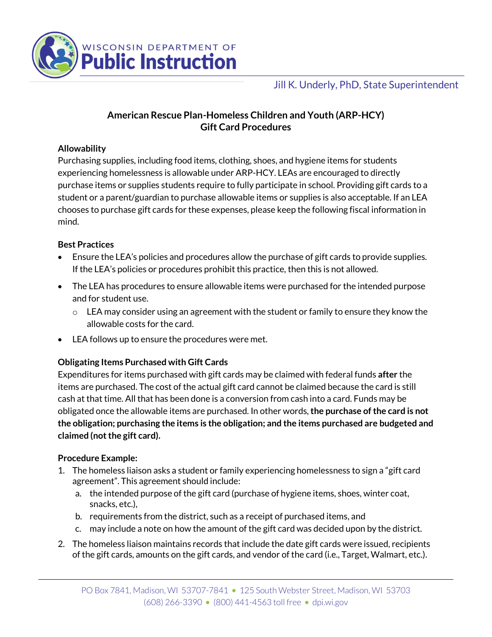

# Jill K. Underly, PhD, State Superintendent

# **American Rescue Plan-Homeless Children and Youth (ARP-HCY) Gift Card Procedures**

### **Allowability**

Purchasing supplies, including food items, clothing, shoes, and hygiene items for students experiencing homelessness is allowable under ARP-HCY. LEAs are encouraged to directly purchase items or supplies students require to fully participate in school. Providing gift cards to a student or a parent/guardian to purchase allowable items or supplies is also acceptable. If an LEA chooses to purchase gift cards for these expenses, please keep the following fiscal information in mind.

#### **Best Practices**

- Ensure the LEA's policies and procedures allow the purchase of gift cards to provide supplies. If the LEA's policies or procedures prohibit this practice, then this is not allowed.
- The LEA has procedures to ensure allowable items were purchased for the intended purpose and for student use.
	- $\circ$  LEA may consider using an agreement with the student or family to ensure they know the allowable costs for the card.
- LEA follows up to ensure the procedures were met.

## **Obligating Items Purchased with Gift Cards**

Expenditures for items purchased with gift cards may be claimed with federal funds **after** the items are purchased. The cost of the actual gift card cannot be claimed because the card is still cash at that time. All that has been done is a conversion from cash into a card. Funds may be obligated once the allowable items are purchased. In other words,**the purchase of the card is not the obligation; purchasing the items is the obligation; and the items purchased are budgeted and claimed (not the gift card).**

#### **Procedure Example:**

- 1. The homeless liaison asks a student or family experiencing homelessness to sign a "gift card agreement". This agreement should include:
	- a. the intended purpose of the gift card (purchase of hygiene items, shoes, winter coat, snacks, etc.),
	- b. requirements from the district, such as a receipt of purchased items, and
	- c. may include a note on how the amount of the gift card was decided upon by the district.
- 2. The homeless liaison maintains records that include the date gift cards were issued, recipients of the gift cards, amounts on the gift cards, and vendor of the card (i.e., Target, Walmart, etc.).